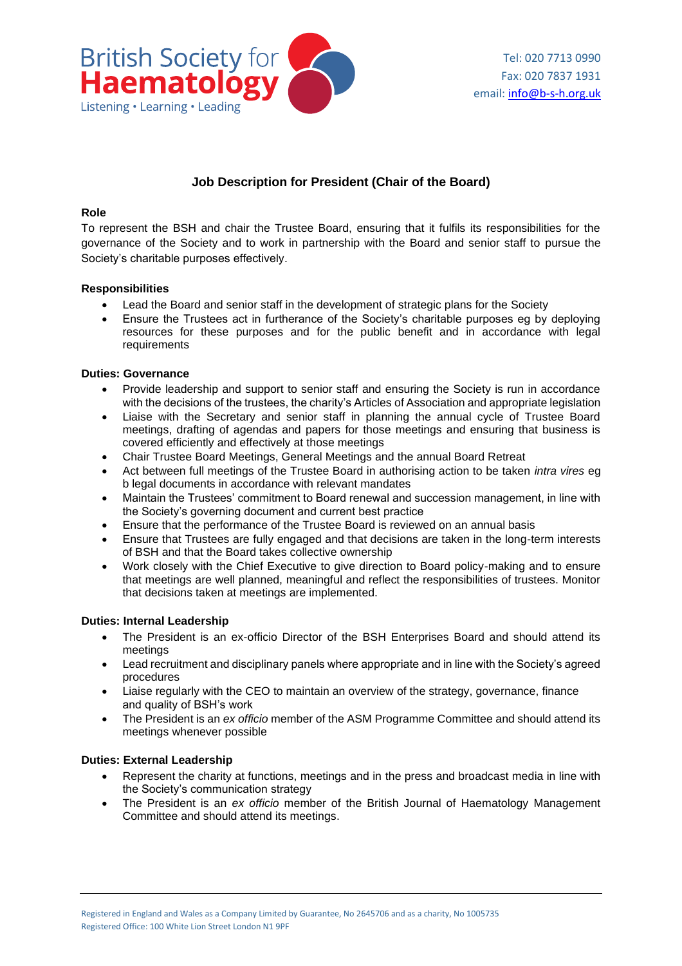

# **Job Description for President (Chair of the Board)**

### **Role**

To represent the BSH and chair the Trustee Board, ensuring that it fulfils its responsibilities for the governance of the Society and to work in partnership with the Board and senior staff to pursue the Society's charitable purposes effectively.

### **Responsibilities**

- Lead the Board and senior staff in the development of strategic plans for the Society
- Ensure the Trustees act in furtherance of the Society's charitable purposes eg by deploying resources for these purposes and for the public benefit and in accordance with legal requirements

### **Duties: Governance**

- Provide leadership and support to senior staff and ensuring the Society is run in accordance with the decisions of the trustees, the charity's Articles of Association and appropriate legislation
- Liaise with the Secretary and senior staff in planning the annual cycle of Trustee Board meetings, drafting of agendas and papers for those meetings and ensuring that business is covered efficiently and effectively at those meetings
- Chair Trustee Board Meetings, General Meetings and the annual Board Retreat
- Act between full meetings of the Trustee Board in authorising action to be taken *intra vires* eg b legal documents in accordance with relevant mandates
- Maintain the Trustees' commitment to Board renewal and succession management, in line with the Society's governing document and current best practice
- Ensure that the performance of the Trustee Board is reviewed on an annual basis
- Ensure that Trustees are fully engaged and that decisions are taken in the long-term interests of BSH and that the Board takes collective ownership
- Work closely with the Chief Executive to give direction to Board policy-making and to ensure that meetings are well planned, meaningful and reflect the responsibilities of trustees. Monitor that decisions taken at meetings are implemented.

#### **Duties: Internal Leadership**

- The President is an ex-officio Director of the BSH Enterprises Board and should attend its meetings
- Lead recruitment and disciplinary panels where appropriate and in line with the Society's agreed procedures
- Liaise regularly with the CEO to maintain an overview of the strategy, governance, finance and quality of BSH's work
- The President is an *ex officio* member of the ASM Programme Committee and should attend its meetings whenever possible

## **Duties: External Leadership**

- Represent the charity at functions, meetings and in the press and broadcast media in line with the Society's communication strategy
- The President is an *ex officio* member of the British Journal of Haematology Management Committee and should attend its meetings.